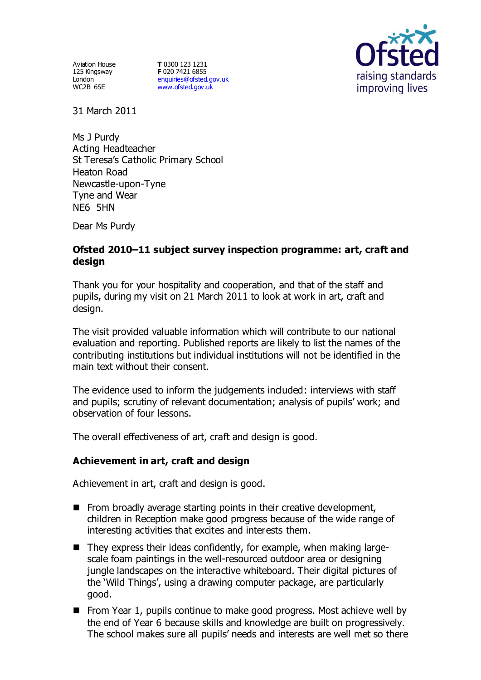Aviation House 125 Kingsway London WC2B 6SE

**T** 0300 123 1231 **F** 020 7421 6855 [enquiries@ofsted.gov.uk](mailto:enquiries@ofsted.gov.uk) [www.ofsted.gov.uk](http://www.ofsted.gov.uk/)



31 March 2011

Ms J Purdy Acting Headteacher St Teresa's Catholic Primary School Heaton Road Newcastle-upon-Tyne Tyne and Wear NE6 5HN

Dear Ms Purdy

### **Ofsted 2010–11 subject survey inspection programme: art, craft and design**

Thank you for your hospitality and cooperation, and that of the staff and pupils, during my visit on 21 March 2011 to look at work in art, craft and design.

The visit provided valuable information which will contribute to our national evaluation and reporting. Published reports are likely to list the names of the contributing institutions but individual institutions will not be identified in the main text without their consent.

The evidence used to inform the judgements included: interviews with staff and pupils; scrutiny of relevant documentation; analysis of pupils' work; and observation of four lessons.

The overall effectiveness of art, craft and design is good.

#### **Achievement in art, craft and design**

Achievement in art, craft and design is good.

- $\blacksquare$  From broadly average starting points in their creative development, children in Reception make good progress because of the wide range of interesting activities that excites and interests them.
- They express their ideas confidently, for example, when making largescale foam paintings in the well-resourced outdoor area or designing jungle landscapes on the interactive whiteboard. Their digital pictures of the 'Wild Things', using a drawing computer package, are particularly good.
- From Year 1, pupils continue to make good progress. Most achieve well by the end of Year 6 because skills and knowledge are built on progressively. The school makes sure all pupils' needs and interests are well met so there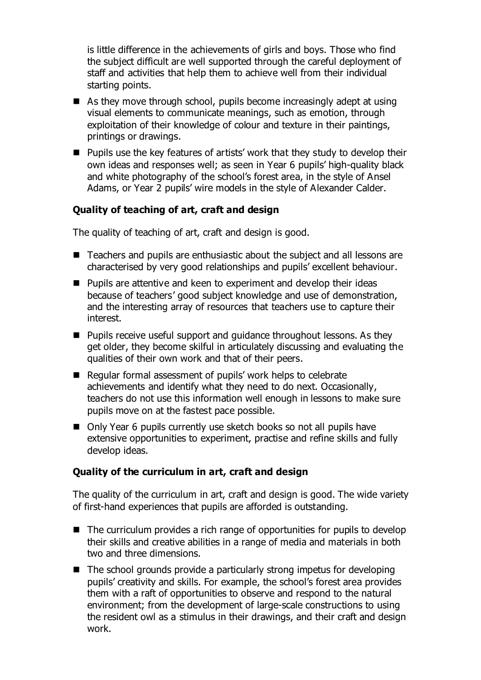is little difference in the achievements of girls and boys. Those who find the subject difficult are well supported through the careful deployment of staff and activities that help them to achieve well from their individual starting points.

- $\blacksquare$  As they move through school, pupils become increasingly adept at using visual elements to communicate meanings, such as emotion, through exploitation of their knowledge of colour and texture in their paintings, printings or drawings.
- **Pupils use the key features of artists' work that they study to develop their** own ideas and responses well; as seen in Year 6 pupils' high-quality black and white photography of the school's forest area, in the style of Ansel Adams, or Year 2 pupils' wire models in the style of Alexander Calder.

# **Quality of teaching of art, craft and design**

The quality of teaching of art, craft and design is good.

- Teachers and pupils are enthusiastic about the subject and all lessons are characterised by very good relationships and pupils' excellent behaviour.
- **Pupils are attentive and keen to experiment and develop their ideas** because of teachers' good subject knowledge and use of demonstration, and the interesting array of resources that teachers use to capture their interest.
- Pupils receive useful support and quidance throughout lessons. As they get older, they become skilful in articulately discussing and evaluating the qualities of their own work and that of their peers.
- Regular formal assessment of pupils' work helps to celebrate achievements and identify what they need to do next. Occasionally, teachers do not use this information well enough in lessons to make sure pupils move on at the fastest pace possible.
- Only Year 6 pupils currently use sketch books so not all pupils have extensive opportunities to experiment, practise and refine skills and fully develop ideas.

# **Quality of the curriculum in art, craft and design**

The quality of the curriculum in art, craft and design is good. The wide variety of first-hand experiences that pupils are afforded is outstanding.

- The curriculum provides a rich range of opportunities for pupils to develop their skills and creative abilities in a range of media and materials in both two and three dimensions.
- $\blacksquare$  The school grounds provide a particularly strong impetus for developing pupils' creativity and skills. For example, the school's forest area provides them with a raft of opportunities to observe and respond to the natural environment; from the development of large-scale constructions to using the resident owl as a stimulus in their drawings, and their craft and design work.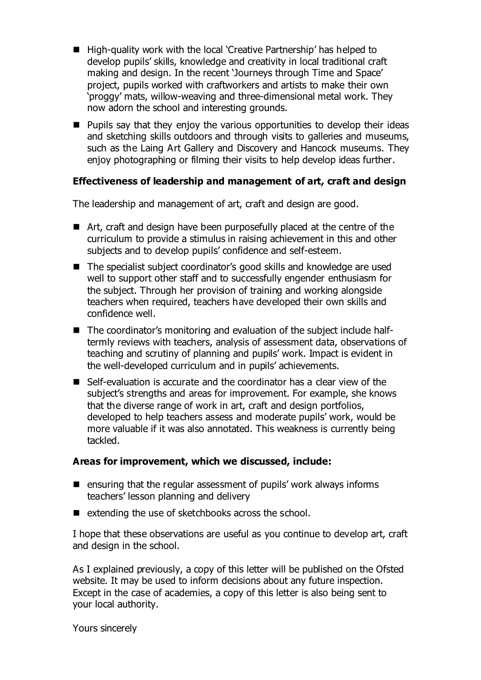- High-quality work with the local 'Creative Partnership' has helped to develop pupils' skills, knowledge and creativity in local traditional craft making and design. In the recent 'Journeys through Time and Space' project, pupils worked with craftworkers and artists to make their own 'proggy' mats, willow-weaving and three-dimensional metal work. They now adorn the school and interesting grounds.
- $\blacksquare$  Pupils say that they enjoy the various opportunities to develop their ideas and sketching skills outdoors and through visits to galleries and museums, such as the Laing Art Gallery and Discovery and Hancock museums. They enjoy photographing or filming their visits to help develop ideas further.

## **Effectiveness of leadership and management of art, craft and design**

The leadership and management of art, craft and design are good.

- Art, craft and design have been purposefully placed at the centre of the curriculum to provide a stimulus in raising achievement in this and other subjects and to develop pupils' confidence and self-esteem.
- The specialist subject coordinator's good skills and knowledge are used well to support other staff and to successfully engender enthusiasm for the subject. Through her provision of training and working alongside teachers when required, teachers have developed their own skills and confidence well.
- The coordinator's monitoring and evaluation of the subject include halftermly reviews with teachers, analysis of assessment data, observations of teaching and scrutiny of planning and pupils' work. Impact is evident in the well-developed curriculum and in pupils' achievements.
- Self-evaluation is accurate and the coordinator has a clear view of the subject's strengths and areas for improvement. For example, she knows that the diverse range of work in art, craft and design portfolios, developed to help teachers assess and moderate pupils' work, would be more valuable if it was also annotated. This weakness is currently being tackled.

#### **Areas for improvement, which we discussed, include:**

- $\blacksquare$  ensuring that the regular assessment of pupils' work always informs teachers' lesson planning and delivery
- $\blacksquare$  extending the use of sketchbooks across the school.

I hope that these observations are useful as you continue to develop art, craft and design in the school.

As I explained previously, a copy of this letter will be published on the Ofsted website. It may be used to inform decisions about any future inspection. Except in the case of academies, a copy of this letter is also being sent to your local authority.

Yours sincerely